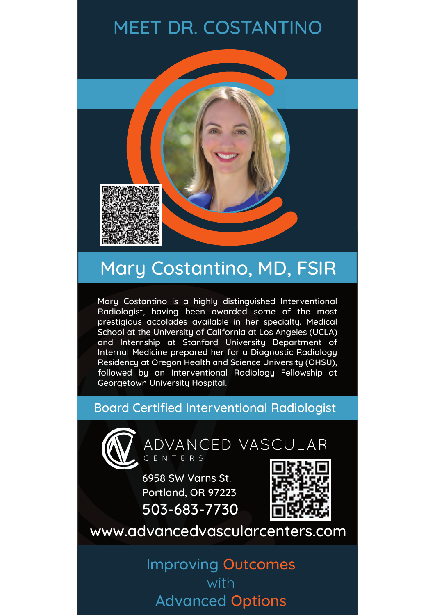# MEET DR. COSTANTINO



# Mary Costantino, MD, FSIR

Mary Costantino is a highly distinguished Interventional Radiologist, having been awarded some of the most prestigious accolades available in her specialty. Medical School at the University of California at Los Angeles (UCLA) and Internship at Stanford University Department of Internal Medicine prepared her for a Diagnostic Radiology Residency at Oregon Health and Science University (OHSU), followed by an Interventional Radiology Fellowship at Georgetown University Hospital.

### Board Certified Interventional Radiologist



ADVANCED VASCULAR CENTERS

6958 SW Varns St. Portland, OR 97223 503-683-7730



www.advancedvascularcenters.com

Improving Outcomes with Advanced Options